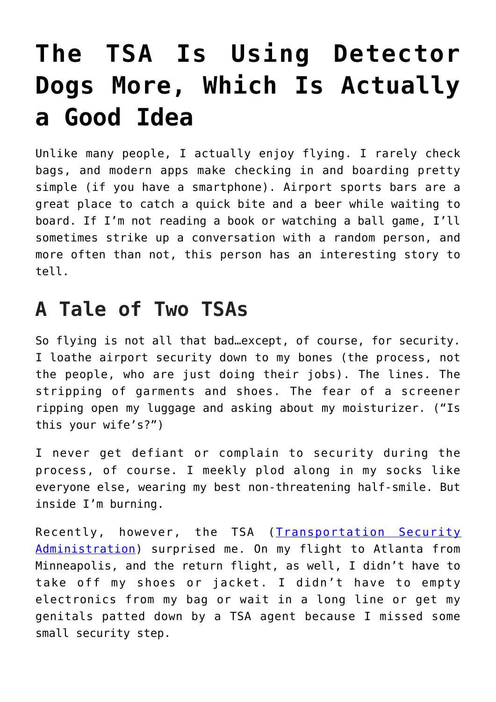## **[The TSA Is Using Detector](https://intellectualtakeout.org/2018/12/the-tsa-is-using-detector-dogs-more-which-is-actually-a-good-idea/) [Dogs More, Which Is Actually](https://intellectualtakeout.org/2018/12/the-tsa-is-using-detector-dogs-more-which-is-actually-a-good-idea/) [a Good Idea](https://intellectualtakeout.org/2018/12/the-tsa-is-using-detector-dogs-more-which-is-actually-a-good-idea/)**

Unlike many people, I actually enjoy flying. I rarely check bags, and modern apps make checking in and boarding pretty simple (if you have a smartphone). Airport sports bars are a great place to catch a quick bite and a beer while waiting to board. If I'm not reading a book or watching a ball game, I'll sometimes strike up a conversation with a random person, and more often than not, this person has an interesting story to tell.

## **A Tale of Two TSAs**

So flying is not all that bad…except, of course, for security. I loathe airport security down to my bones (the process, not the people, who are just doing their jobs). The lines. The stripping of garments and shoes. The fear of a screener ripping open my luggage and asking about my moisturizer. ("Is this your wife's?")

I never get defiant or complain to security during the process, of course. I meekly plod along in my socks like everyone else, wearing my best non-threatening half-smile. But inside I'm burning.

Recently, however, the TSA ([Transportation Security](https://www.tsa.gov/) [Administration\)](https://www.tsa.gov/) surprised me. On my flight to Atlanta from Minneapolis, and the return flight, as well, I didn't have to take off my shoes or jacket. I didn't have to empty electronics from my bag or wait in a long line or get my genitals patted down by a TSA agent because I missed some small security step.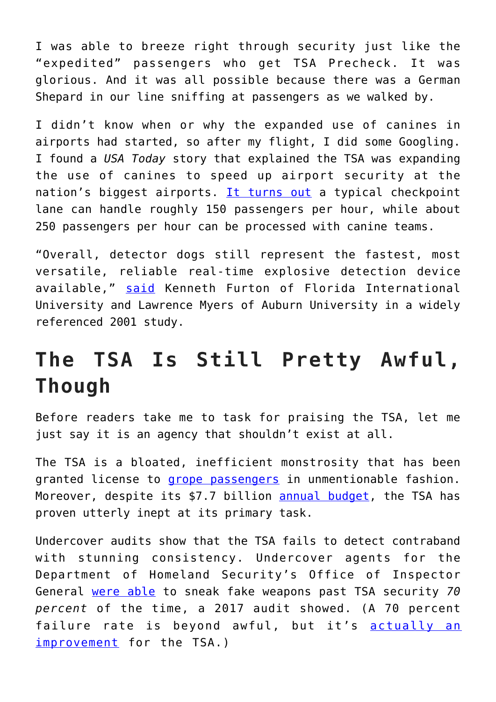I was able to breeze right through security just like the "expedited" passengers who get TSA Precheck. It was glorious. And it was all possible because there was a German Shepard in our line sniffing at passengers as we walked by.

I didn't know when or why the expanded use of canines in airports had started, so after my flight, I did some Googling. I found a *USA Today* story that explained the TSA was expanding the use of canines to speed up airport security at the nation's biggest airports. [It turns out](https://www.usatoday.com/story/news/2017/09/21/tsa-dog-teams-hunt-explosives-game-boosts-security/669316001/) a typical checkpoint lane can handle roughly 150 passengers per hour, while about 250 passengers per hour can be processed with canine teams.

"Overall, detector dogs still represent the fastest, most versatile, reliable real-time explosive detection device available," [said](https://www.ncbi.nlm.nih.gov/pubmed/18968273) Kenneth Furton of Florida International University and Lawrence Myers of Auburn University in a widely referenced 2001 study.

## **The TSA Is Still Pretty Awful, Though**

Before readers take me to task for praising the TSA, let me just say it is an agency that shouldn't exist at all.

The TSA is a bloated, inefficient monstrosity that has been granted license to [grope passengers](https://www.cnn.com/2016/12/16/opinions/tsa-invasive-pat-down-rye/index.html) in unmentionable fashion. Moreover, despite its \$7.7 billion [annual budget,](https://www.tsa.gov/news/testimony/2018/04/12/examining-presidents-fy-2019-budget-request-transportation-security) the TSA has proven utterly inept at its primary task.

Undercover audits show that the TSA fails to detect contraband with stunning consistency. Undercover agents for the Department of Homeland Security's Office of Inspector General [were able](https://abcnews.go.com/US/tsa-fails-tests-latest-undercover-operation-us-airports/story?id=51022188) to sneak fake weapons past TSA security *70 percent* of the time, a 2017 audit showed. (A 70 percent failure rate is beyond awful, but it's [actually an](https://www.forbes.com/sites/michaelgoldstein/2017/11/09/tsa-misses-70-of-fake-weapons-but-thats-an-improvement/#18030532a38d) [improvement](https://www.forbes.com/sites/michaelgoldstein/2017/11/09/tsa-misses-70-of-fake-weapons-but-thats-an-improvement/#18030532a38d) for the TSA.)